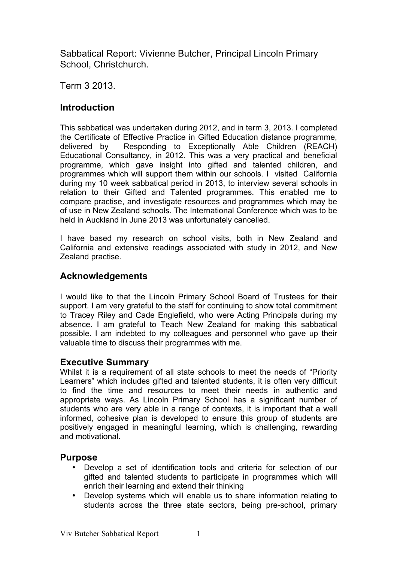Sabbatical Report: Vivienne Butcher, Principal Lincoln Primary School, Christchurch.

Term 3 2013.

# **Introduction**

This sabbatical was undertaken during 2012, and in term 3, 2013. I completed the Certificate of Effective Practice in Gifted Education distance programme, delivered by Responding to Exceptionally Able Children (REACH) Educational Consultancy, in 2012. This was a very practical and beneficial programme, which gave insight into gifted and talented children, and programmes which will support them within our schools. I visited California during my 10 week sabbatical period in 2013, to interview several schools in relation to their Gifted and Talented programmes. This enabled me to compare practise, and investigate resources and programmes which may be of use in New Zealand schools. The International Conference which was to be held in Auckland in June 2013 was unfortunately cancelled.

I have based my research on school visits, both in New Zealand and California and extensive readings associated with study in 2012, and New Zealand practise.

# **Acknowledgements**

I would like to that the Lincoln Primary School Board of Trustees for their support. I am very grateful to the staff for continuing to show total commitment to Tracey Riley and Cade Englefield, who were Acting Principals during my absence. I am grateful to Teach New Zealand for making this sabbatical possible. I am indebted to my colleagues and personnel who gave up their valuable time to discuss their programmes with me.

#### **Executive Summary**

Whilst it is a requirement of all state schools to meet the needs of "Priority Learners" which includes gifted and talented students, it is often very difficult to find the time and resources to meet their needs in authentic and appropriate ways. As Lincoln Primary School has a significant number of students who are very able in a range of contexts, it is important that a well informed, cohesive plan is developed to ensure this group of students are positively engaged in meaningful learning, which is challenging, rewarding and motivational.

#### **Purpose**

- Develop a set of identification tools and criteria for selection of our gifted and talented students to participate in programmes which will enrich their learning and extend their thinking
- Develop systems which will enable us to share information relating to students across the three state sectors, being pre-school, primary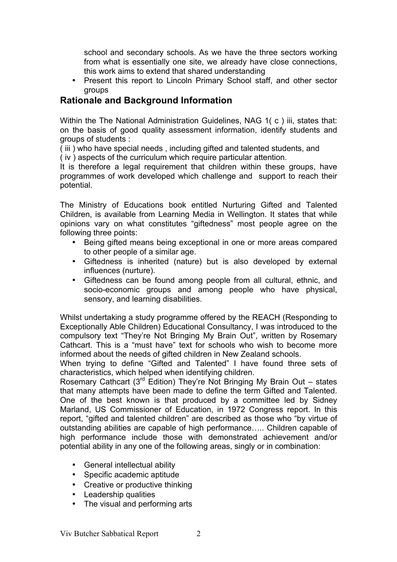school and secondary schools. As we have the three sectors working from what is essentially one site, we already have close connections, this work aims to extend that shared understanding

• Present this report to Lincoln Primary School staff, and other sector groups

# **Rationale and Background Information**

Within the The National Administration Guidelines, NAG 1( c ) iii, states that: on the basis of good quality assessment information, identify students and groups of students :

( iii ) who have special needs , including gifted and talented students, and

( iv ) aspects of the curriculum which require particular attention.

It is therefore a legal requirement that children within these groups, have programmes of work developed which challenge and support to reach their potential.

The Ministry of Educations book entitled Nurturing Gifted and Talented Children, is available from Learning Media in Wellington. It states that while opinions vary on what constitutes "giftedness" most people agree on the following three points:

- Being gifted means being exceptional in one or more areas compared to other people of a similar age.
- Giftedness is inherited (nature) but is also developed by external influences (nurture).
- Giftedness can be found among people from all cultural, ethnic, and socio-economic groups and among people who have physical, sensory, and learning disabilities.

Whilst undertaking a study programme offered by the REACH (Responding to Exceptionally Able Children) Educational Consultancy, I was introduced to the compulsory text "They're Not Bringing My Brain Out", written by Rosemary Cathcart. This is a "must have" text for schools who wish to become more informed about the needs of gifted children in New Zealand schools.

When trying to define "Gifted and Talented" I have found three sets of characteristics, which helped when identifying children.

Rosemary Cathcart (3<sup>rd</sup> Edition) They're Not Bringing My Brain Out - states that many attempts have been made to define the term Gifted and Talented. One of the best known is that produced by a committee led by Sidney Marland, US Commissioner of Education, in 1972 Congress report. In this report, "gifted and talented children" are described as those who "by virtue of outstanding abilities are capable of high performance….. Children capable of high performance include those with demonstrated achievement and/or potential ability in any one of the following areas, singly or in combination:

- General intellectual ability
- Specific academic aptitude
- Creative or productive thinking
- Leadership qualities
- The visual and performing arts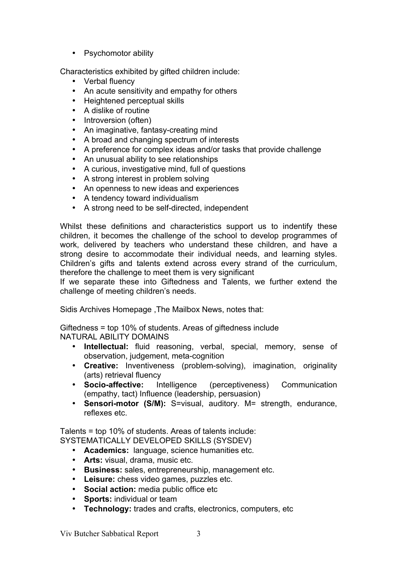• Psychomotor ability

Characteristics exhibited by gifted children include:

- Verbal fluency
- An acute sensitivity and empathy for others
- Heightened perceptual skills
- A dislike of routine
- Introversion (often)
- An imaginative, fantasy-creating mind
- A broad and changing spectrum of interests
- A preference for complex ideas and/or tasks that provide challenge
- An unusual ability to see relationships
- A curious, investigative mind, full of questions
- A strong interest in problem solving
- An openness to new ideas and experiences
- A tendency toward individualism
- A strong need to be self-directed, independent

Whilst these definitions and characteristics support us to indentify these children, it becomes the challenge of the school to develop programmes of work, delivered by teachers who understand these children, and have a strong desire to accommodate their individual needs, and learning styles. Children's gifts and talents extend across every strand of the curriculum, therefore the challenge to meet them is very significant

If we separate these into Giftedness and Talents, we further extend the challenge of meeting children's needs.

Sidis Archives Homepage ,The Mailbox News, notes that:

Giftedness = top 10% of students. Areas of giftedness include NATURAL ABILITY DOMAINS

- **Intellectual:** fluid reasoning, verbal, special, memory, sense of observation, judgement, meta-cognition
- **Creative:** Inventiveness (problem-solving), imagination, originality (arts) retrieval fluency
- **Socio-affective:** Intelligence (perceptiveness) Communication (empathy, tact) Influence (leadership, persuasion)
- **Sensori-motor (S/M):** S=visual, auditory. M= strength, endurance, reflexes etc.

Talents = top 10% of students. Areas of talents include: SYSTEMATICALLY DEVELOPED SKILLS (SYSDEV)

- **Academics:** language, science humanities etc.
- **Arts:** visual, drama, music etc.
- **Business:** sales, entrepreneurship, management etc.
- **Leisure:** chess video games, puzzles etc.
- **Social action:** media public office etc
- **Sports:** individual or team
- **Technology:** trades and crafts, electronics, computers, etc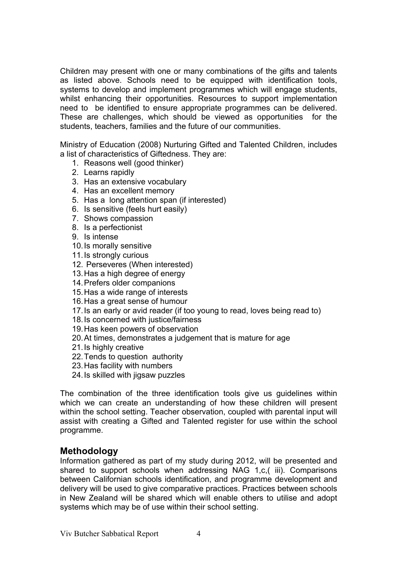Children may present with one or many combinations of the gifts and talents as listed above. Schools need to be equipped with identification tools, systems to develop and implement programmes which will engage students, whilst enhancing their opportunities. Resources to support implementation need to be identified to ensure appropriate programmes can be delivered. These are challenges, which should be viewed as opportunities for the students, teachers, families and the future of our communities.

Ministry of Education (2008) Nurturing Gifted and Talented Children, includes a list of characteristics of Giftedness. They are:

- 1. Reasons well (good thinker)
- 2. Learns rapidly
- 3. Has an extensive vocabulary
- 4. Has an excellent memory
- 5. Has a long attention span (if interested)
- 6. Is sensitive (feels hurt easily)
- 7. Shows compassion
- 8. Is a perfectionist
- 9. Is intense
- 10.Is morally sensitive
- 11.Is strongly curious
- 12. Perseveres (When interested)
- 13.Has a high degree of energy
- 14.Prefers older companions
- 15.Has a wide range of interests
- 16.Has a great sense of humour
- 17.Is an early or avid reader (if too young to read, loves being read to)
- 18.Is concerned with justice/fairness
- 19.Has keen powers of observation
- 20.At times, demonstrates a judgement that is mature for age
- 21. Is highly creative
- 22.Tends to question authority
- 23.Has facility with numbers
- 24.Is skilled with jigsaw puzzles

The combination of the three identification tools give us guidelines within which we can create an understanding of how these children will present within the school setting. Teacher observation, coupled with parental input will assist with creating a Gifted and Talented register for use within the school programme.

## **Methodology**

Information gathered as part of my study during 2012, will be presented and shared to support schools when addressing NAG 1,c,( iii). Comparisons between Californian schools identification, and programme development and delivery will be used to give comparative practices. Practices between schools in New Zealand will be shared which will enable others to utilise and adopt systems which may be of use within their school setting.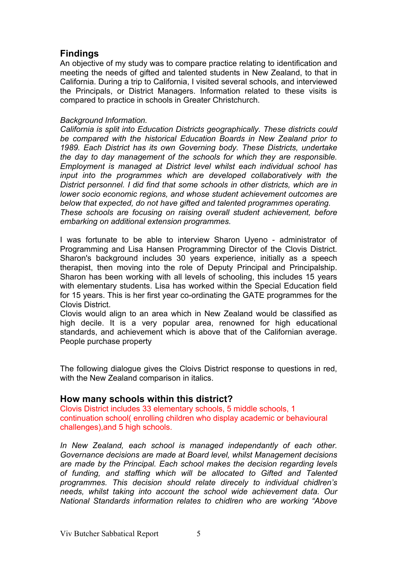# **Findings**

An objective of my study was to compare practice relating to identification and meeting the needs of gifted and talented students in New Zealand, to that in California. During a trip to California, I visited several schools, and interviewed the Principals, or District Managers. Information related to these visits is compared to practice in schools in Greater Christchurch.

#### *Background Information.*

*California is split into Education Districts geographically. These districts could be compared with the historical Education Boards in New Zealand prior to 1989. Each District has its own Governing body. These Districts, undertake the day to day management of the schools for which they are responsible. Employment is managed at District level whilst each individual school has input into the programmes which are developed collaboratively with the District personnel. I did find that some schools in other districts, which are in lower socio economic regions, and whose student achievement outcomes are below that expected, do not have gifted and talented programmes operating. These schools are focusing on raising overall student achievement, before embarking on additional extension programmes.*

I was fortunate to be able to interview Sharon Uyeno - administrator of Programming and Lisa Hansen Programming Director of the Clovis District. Sharon's background includes 30 years experience, initially as a speech therapist, then moving into the role of Deputy Principal and Principalship. Sharon has been working with all levels of schooling, this includes 15 years with elementary students. Lisa has worked within the Special Education field for 15 years. This is her first year co-ordinating the GATE programmes for the Clovis District.

Clovis would align to an area which in New Zealand would be classified as high decile. It is a very popular area, renowned for high educational standards, and achievement which is above that of the Californian average. People purchase property

The following dialogue gives the Cloivs District response to questions in red, with the New Zealand comparison in italics.

#### **How many schools within this district?**

Clovis District includes 33 elementary schools, 5 middle schools, 1 continuation school( enrolling children who display academic or behavioural challenges),and 5 high schools.

*In New Zealand, each school is managed independantly of each other. Governance decisions are made at Board level, whilst Management decisions are made by the Principal. Each school makes the decision regarding levels of funding, and staffing which will be allocated to Gifted and Talented programmes. This decision should relate direcely to individual chidlren's needs, whilst taking into account the school wide achievement data. Our National Standards information relates to chidlren who are working "Above*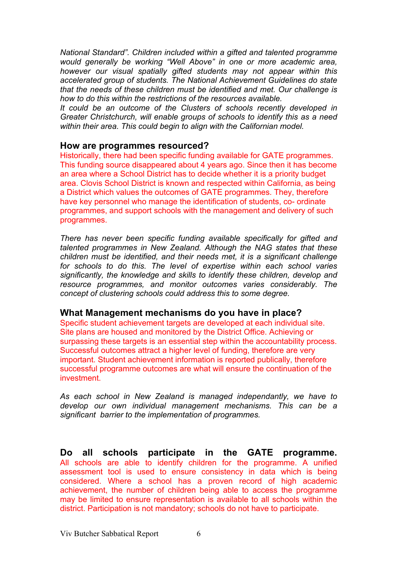*National Standard". Children included within a gifted and talented programme would generally be working "Well Above" in one or more academic area, however our visual spatially gifted students may not appear within this accelerated group of students. The National Achievement Guidelines do state that the needs of these children must be identified and met. Our challenge is how to do this within the restrictions of the resources available.* 

*It could be an outcome of the Clusters of schools recently developed in Greater Christchurch, will enable groups of schools to identify this as a need within their area. This could begin to align with the Californian model.*

#### **How are programmes resourced?**

Historically, there had been specific funding available for GATE programmes. This funding source disappeared about 4 years ago. Since then it has become an area where a School District has to decide whether it is a priority budget area. Clovis School District is known and respected within California, as being a District which values the outcomes of GATE programmes. They, therefore have key personnel who manage the identification of students, co- ordinate programmes, and support schools with the management and delivery of such programmes.

*There has never been specific funding available specifically for gifted and talented programmes in New Zealand. Although the NAG states that these children must be identified, and their needs met, it is a significant challenge for schools to do this. The level of expertise within each school varies significantly, the knowledge and skills to identify these children, develop and resource programmes, and monitor outcomes varies considerably. The concept of clustering schools could address this to some degree.*

#### **What Management mechanisms do you have in place?**

Specific student achievement targets are developed at each individual site. Site plans are housed and monitored by the District Office. Achieving or surpassing these targets is an essential step within the accountability process. Successful outcomes attract a higher level of funding, therefore are very important. Student achievement information is reported publically, therefore successful programme outcomes are what will ensure the continuation of the investment.

*As each school in New Zealand is managed independantly, we have to develop our own individual management mechanisms. This can be a significant barrier to the implementation of programmes.*

**Do all schools participate in the GATE programme.** All schools are able to identify children for the programme. A unified assessment tool is used to ensure consistency in data which is being considered. Where a school has a proven record of high academic achievement, the number of children being able to access the programme may be limited to ensure representation is available to all schools within the district. Participation is not mandatory; schools do not have to participate.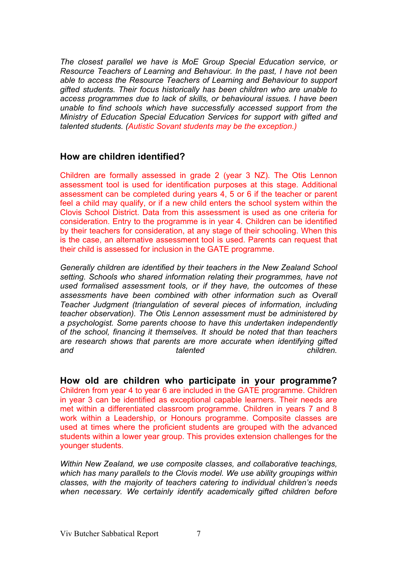*The closest parallel we have is MoE Group Special Education service, or Resource Teachers of Learning and Behaviour. In the past, I have not been able to access the Resource Teachers of Learning and Behaviour to support gifted students. Their focus historically has been children who are unable to access programmes due to lack of skills, or behavioural issues. I have been unable to find schools which have successfully accessed support from the Ministry of Education Special Education Services for support with gifted and talented students. (Autistic Sovant students may be the exception.)*

#### **How are children identified?**

Children are formally assessed in grade 2 (year 3 NZ). The Otis Lennon assessment tool is used for identification purposes at this stage. Additional assessment can be completed during years 4, 5 or 6 if the teacher or parent feel a child may qualify, or if a new child enters the school system within the Clovis School District. Data from this assessment is used as one criteria for consideration. Entry to the programme is in year 4. Children can be identified by their teachers for consideration, at any stage of their schooling. When this is the case, an alternative assessment tool is used. Parents can request that their child is assessed for inclusion in the GATE programme.

*Generally children are identified by their teachers in the New Zealand School setting. Schools who shared information relating their programmes, have not used formalised assessment tools, or if they have, the outcomes of these assessments have been combined with other information such as Overall Teacher Judgment (triangulation of several pieces of information, including teacher observation). The Otis Lennon assessment must be administered by a psychologist. Some parents choose to have this undertaken independently of the school, financing it themselves. It should be noted that than teachers are research shows that parents are more accurate when identifying gifted and talented children.* 

**How old are children who participate in your programme?** Children from year 4 to year 6 are included in the GATE programme. Children in year 3 can be identified as exceptional capable learners. Their needs are met within a differentiated classroom programme. Children in years 7 and 8 work within a Leadership, or Honours programme. Composite classes are used at times where the proficient students are grouped with the advanced students within a lower year group. This provides extension challenges for the younger students.

*Within New Zealand, we use composite classes, and collaborative teachings, which has many parallels to the Clovis model. We use ability groupings within classes, with the majority of teachers catering to individual children's needs when necessary. We certainly identify academically gifted children before*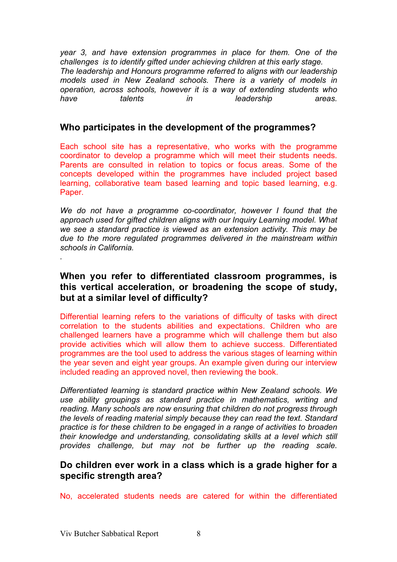*year 3, and have extension programmes in place for them. One of the challenges is to identify gifted under achieving children at this early stage. The leadership and Honours programme referred to aligns with our leadership models used in New Zealand schools. There is a variety of models in operation, across schools, however it is a way of extending students who have talents in leadership areas.*

# **Who participates in the development of the programmes?**

Each school site has a representative, who works with the programme coordinator to develop a programme which will meet their students needs. Parents are consulted in relation to topics or focus areas. Some of the concepts developed within the programmes have included project based learning, collaborative team based learning and topic based learning, e.g. Paper.

*We do not have a programme co-coordinator, however I found that the approach used for gifted children aligns with our Inquiry Learning model. What we see a standard practice is viewed as an extension activity. This may be due to the more regulated programmes delivered in the mainstream within schools in California.*

# **When you refer to differentiated classroom programmes, is this vertical acceleration, or broadening the scope of study, but at a similar level of difficulty?**

Differential learning refers to the variations of difficulty of tasks with direct correlation to the students abilities and expectations. Children who are challenged learners have a programme which will challenge them but also provide activities which will allow them to achieve success. Differentiated programmes are the tool used to address the various stages of learning within the year seven and eight year groups. An example given during our interview included reading an approved novel, then reviewing the book.

*Differentiated learning is standard practice within New Zealand schools. We use ability groupings as standard practice in mathematics, writing and reading. Many schools are now ensuring that children do not progress through the levels of reading material simply because they can read the text. Standard practice is for these children to be engaged in a range of activities to broaden their knowledge and understanding, consolidating skills at a level which still provides challenge, but may not be further up the reading scale.*

## **Do children ever work in a class which is a grade higher for a specific strength area?**

No, accelerated students needs are catered for within the differentiated

*.*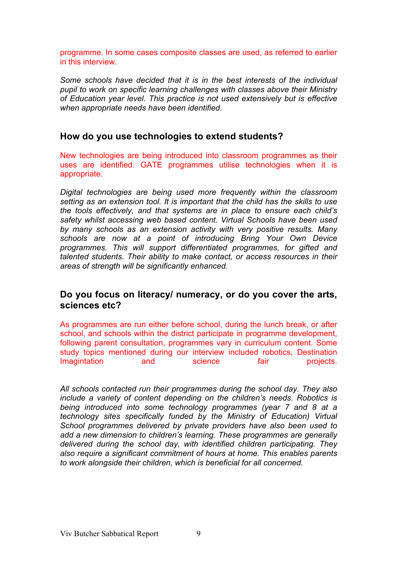programme. In some cases composite classes are used, as referred to earlier in this interview.

*Some schools have decided that it is in the best interests of the individual pupil to work on specific learning challenges with classes above their Ministry of Education year level. This practice is not used extensively but is effective when appropriate needs have been identified.*

#### **How do you use technologies to extend students?**

New technologies are being introduced into classroom programmes as their uses are identified. GATE programmes utilise technologies when it is appropriate.

*Digital technologies are being used more frequently within the classroom setting as an extension tool. It is important that the child has the skills to use the tools effectively, and that systems are in place to ensure each child's safety whilst accessing web based content. Virtual Schools have been used by many schools as an extension activity with very positive results. Many schools are now at a point of introducing Bring Your Own Device programmes. This will support differentiated programmes, for gifted and talented students. Their ability to make contact, or access resources in their areas of strength will be significantly enhanced.*

## **Do you focus on literacy/ numeracy, or do you cover the arts, sciences etc?**

As programmes are run either before school, during the lunch break, or after school, and schools within the district participate in programme development, following parent consultation, programmes vary in curriculum content. Some study topics mentioned during our interview included robotics, Destination Imagintation and science fair projects.

*All schools contacted run their programmes during the school day. They also include a variety of content depending on the children's needs. Robotics is being introduced into some technology programmes (year 7 and 8 at a technology sites specifically funded by the Ministry of Education) Virtual School programmes delivered by private providers have also been used to add a new dimension to children's learning. These programmes are generally delivered during the school day, with identified children participating. They also require a significant commitment of hours at home. This enables parents to work alongside their children, which is beneficial for all concerned.*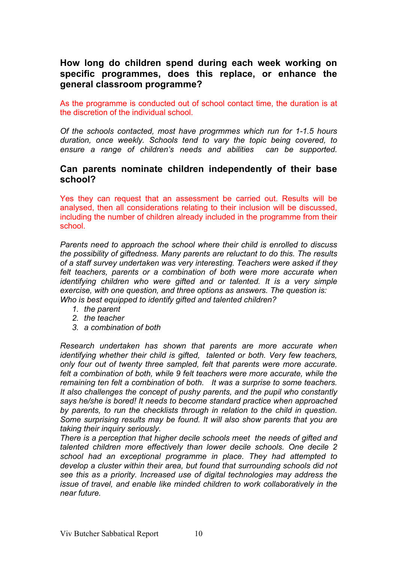# **How long do children spend during each week working on specific programmes, does this replace, or enhance the general classroom programme?**

As the programme is conducted out of school contact time, the duration is at the discretion of the individual school.

*Of the schools contacted, most have progrmmes which run for 1-1.5 hours duration, once weekly. Schools tend to vary the topic being covered, to ensure a range of children's needs and abilities can be supported.*

#### **Can parents nominate children independently of their base school?**

Yes they can request that an assessment be carried out. Results will be analysed, then all considerations relating to their inclusion will be discussed, including the number of children already included in the programme from their school.

*Parents need to approach the school where their child is enrolled to discuss the possibility of giftedness. Many parents are reluctant to do this. The results of a staff survey undertaken was very interesting. Teachers were asked if they felt teachers, parents or a combination of both were more accurate when identifying children who were gifted and or talented. It is a very simple exercise, with one question, and three options as answers. The question is: Who is best equipped to identify gifted and talented children?*

- *1. the parent*
- *2. the teacher*
- *3. a combination of both*

*Research undertaken has shown that parents are more accurate when identifying whether their child is gifted, talented or both. Very few teachers, only four out of twenty three sampled, felt that parents were more accurate.*  felt a combination of both, while 9 felt teachers were more accurate, while the *remaining ten felt a combination of both. It was a surprise to some teachers. It also challenges the concept of pushy parents, and the pupil who constantly says he/she is bored! It needs to become standard practice when approached by parents, to run the checklists through in relation to the child in question. Some surprising results may be found. It will also show parents that you are taking their inquiry seriously.*

*There is a perception that higher decile schools meet the needs of gifted and talented children more effectively than lower decile schools. One decile 2 school had an exceptional programme in place. They had attempted to develop a cluster within their area, but found that surrounding schools did not see this as a priority. Increased use of digital technologies may address the issue of travel, and enable like minded children to work collaboratively in the near future.*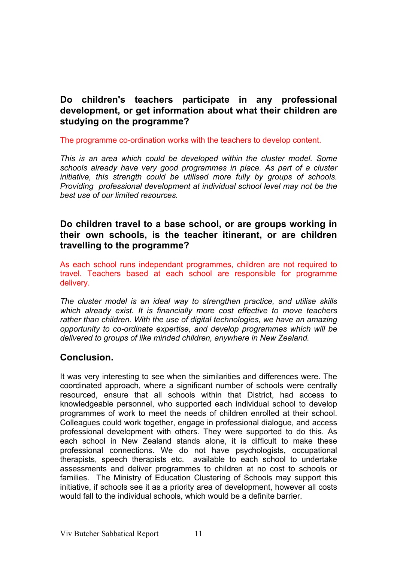# **Do children's teachers participate in any professional development, or get information about what their children are studying on the programme?**

#### The programme co-ordination works with the teachers to develop content.

*This is an area which could be developed within the cluster model. Some schools already have very good programmes in place. As part of a cluster initiative, this strength could be utilised more fully by groups of schools. Providing professional development at individual school level may not be the best use of our limited resources.*

## **Do children travel to a base school, or are groups working in their own schools, is the teacher itinerant, or are children travelling to the programme?**

As each school runs independant programmes, children are not required to travel. Teachers based at each school are responsible for programme delivery.

*The cluster model is an ideal way to strengthen practice, and utilise skills which already exist. It is financially more cost effective to move teachers rather than children. With the use of digital technologies, we have an amazing opportunity to co-ordinate expertise, and develop programmes which will be delivered to groups of like minded children, anywhere in New Zealand.*

# **Conclusion.**

It was very interesting to see when the similarities and differences were. The coordinated approach, where a significant number of schools were centrally resourced, ensure that all schools within that District, had access to knowledgeable personnel, who supported each individual school to develop programmes of work to meet the needs of children enrolled at their school. Colleagues could work together, engage in professional dialogue, and access professional development with others. They were supported to do this. As each school in New Zealand stands alone, it is difficult to make these professional connections. We do not have psychologists, occupational therapists, speech therapists etc. available to each school to undertake assessments and deliver programmes to children at no cost to schools or families. The Ministry of Education Clustering of Schools may support this initiative, if schools see it as a priority area of development, however all costs would fall to the individual schools, which would be a definite barrier.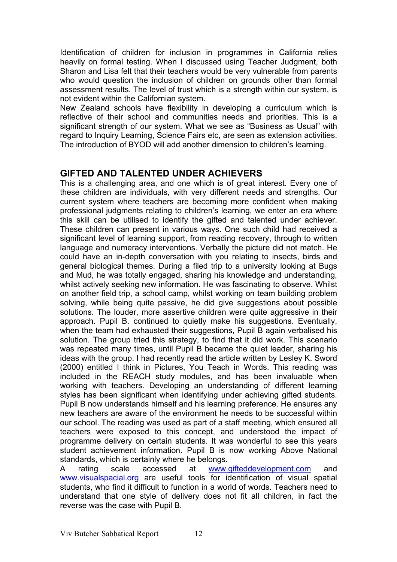Identification of children for inclusion in programmes in California relies heavily on formal testing. When I discussed using Teacher Judgment, both Sharon and Lisa felt that their teachers would be very vulnerable from parents who would question the inclusion of children on grounds other than formal assessment results. The level of trust which is a strength within our system, is not evident within the Californian system.

New Zealand schools have flexibility in developing a curriculum which is reflective of their school and communities needs and priorities. This is a significant strength of our system. What we see as "Business as Usual" with regard to Inquiry Learning, Science Fairs etc, are seen as extension activities. The introduction of BYOD will add another dimension to children's learning.

# **GIFTED AND TALENTED UNDER ACHIEVERS**

This is a challenging area, and one which is of great interest. Every one of these children are individuals, with very different needs and strengths. Our current system where teachers are becoming more confident when making professional judgments relating to children's learning, we enter an era where this skill can be utilised to identify the gifted and talented under achiever. These children can present in various ways. One such child had received a significant level of learning support, from reading recovery, through to written language and numeracy interventions. Verbally the picture did not match. He could have an in-depth conversation with you relating to insects, birds and general biological themes. During a filed trip to a university looking at Bugs and Mud, he was totally engaged, sharing his knowledge and understanding, whilst actively seeking new information. He was fascinating to observe. Whilst on another field trip, a school camp, whilst working on team building problem solving, while being quite passive, he did give suggestions about possible solutions. The louder, more assertive children were quite aggressive in their approach. Pupil B. continued to quietly make his suggestions. Eventually, when the team had exhausted their suggestions, Pupil B again verbalised his solution. The group tried this strategy, to find that it did work. This scenario was repeated many times, until Pupil B became the quiet leader, sharing his ideas with the group. I had recently read the article written by Lesley K. Sword (2000) entitled I think in Pictures, You Teach in Words. This reading was included in the REACH study modules, and has been invaluable when working with teachers. Developing an understanding of different learning styles has been significant when identifying under achieving gifted students. Pupil B now understands himself and his learning preference. He ensures any new teachers are aware of the environment he needs to be successful within our school. The reading was used as part of a staff meeting, which ensured all teachers were exposed to this concept, and understood the impact of programme delivery on certain students. It was wonderful to see this years student achievement information. Pupil B is now working Above National standards, which is certainly where he belongs.

A rating scale accessed at www.gifteddevelopment.com and www.visualspacial.org are useful tools for identification of visual spatial students, who find it difficult to function in a world of words. Teachers need to understand that one style of delivery does not fit all children, in fact the reverse was the case with Pupil B.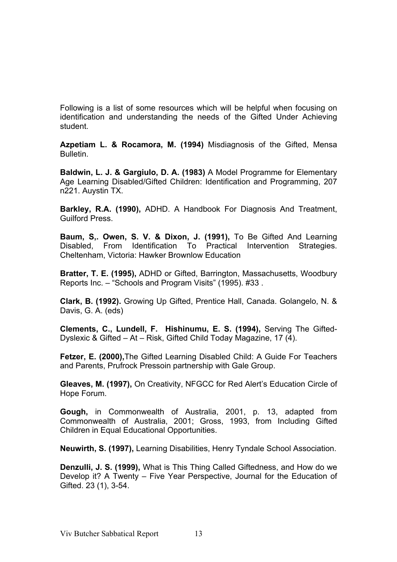Following is a list of some resources which will be helpful when focusing on identification and understanding the needs of the Gifted Under Achieving student.

**Azpetiam L. & Rocamora, M. (1994)** Misdiagnosis of the Gifted, Mensa Bulletin.

**Baldwin, L. J. & Gargiulo, D. A. (1983)** A Model Programme for Elementary Age Learning Disabled/Gifted Children: Identification and Programming, 207 n221. Auystin TX.

**Barkley, R.A. (1990),** ADHD. A Handbook For Diagnosis And Treatment, Guilford Press.

**Baum, S,. Owen, S. V. & Dixon, J. (1991),** To Be Gifted And Learning Disabled, From Identification To Practical Intervention Strategies. Cheltenham, Victoria: Hawker Brownlow Education

**Bratter, T. E. (1995),** ADHD or Gifted, Barrington, Massachusetts, Woodbury Reports Inc. – "Schools and Program Visits" (1995). #33 .

**Clark, B. (1992).** Growing Up Gifted, Prentice Hall, Canada. Golangelo, N. & Davis, G. A. (eds)

**Clements, C., Lundell, F. Hishinumu, E. S. (1994),** Serving The Gifted-Dyslexic & Gifted – At – Risk, Gifted Child Today Magazine, 17 (4).

**Fetzer, E. (2000),**The Gifted Learning Disabled Child: A Guide For Teachers and Parents, Prufrock Pressoin partnership with Gale Group.

**Gleaves, M. (1997),** On Creativity, NFGCC for Red Alert's Education Circle of Hope Forum.

**Gough,** in Commonwealth of Australia, 2001, p. 13, adapted from Commonwealth of Australia, 2001; Gross, 1993, from Including Gifted Children in Equal Educational Opportunities.

**Neuwirth, S. (1997),** Learning Disabilities, Henry Tyndale School Association.

**Denzulli, J. S. (1999),** What is This Thing Called Giftedness, and How do we Develop it? A Twenty – Five Year Perspective, Journal for the Education of Gifted. 23 (1), 3-54.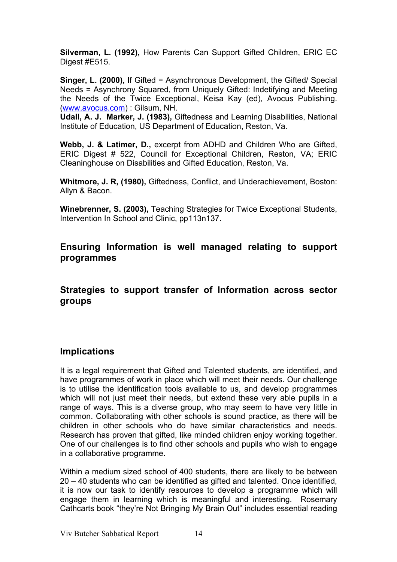**Silverman, L. (1992),** How Parents Can Support Gifted Children, ERIC EC Digest #E515.

**Singer, L. (2000),** If Gifted = Asynchronous Development, the Gifted/ Special Needs = Asynchrony Squared, from Uniquely Gifted: Indetifying and Meeting the Needs of the Twice Exceptional, Keisa Kay (ed), Avocus Publishing. (www.avocus.com) : Gilsum, NH.

**Udall, A. J. Marker, J. (1983),** Giftedness and Learning Disabilities, National Institute of Education, US Department of Education, Reston, Va.

**Webb, J. & Latimer, D.,** excerpt from ADHD and Children Who are Gifted, ERIC Digest # 522, Council for Exceptional Children, Reston, VA; ERIC Cleaninghouse on Disabilities and Gifted Education, Reston, Va.

**Whitmore, J. R, (1980),** Giftedness, Conflict, and Underachievement, Boston: Allyn & Bacon.

**Winebrenner, S. (2003),** Teaching Strategies for Twice Exceptional Students, Intervention In School and Clinic, pp113n137.

**Ensuring Information is well managed relating to support programmes**

**Strategies to support transfer of Information across sector groups**

## **Implications**

It is a legal requirement that Gifted and Talented students, are identified, and have programmes of work in place which will meet their needs. Our challenge is to utilise the identification tools available to us, and develop programmes which will not just meet their needs, but extend these very able pupils in a range of ways. This is a diverse group, who may seem to have very little in common. Collaborating with other schools is sound practice, as there will be children in other schools who do have similar characteristics and needs. Research has proven that gifted, like minded children enjoy working together. One of our challenges is to find other schools and pupils who wish to engage in a collaborative programme.

Within a medium sized school of 400 students, there are likely to be between 20 – 40 students who can be identified as gifted and talented. Once identified, it is now our task to identify resources to develop a programme which will engage them in learning which is meaningful and interesting. Rosemary Cathcarts book "they're Not Bringing My Brain Out" includes essential reading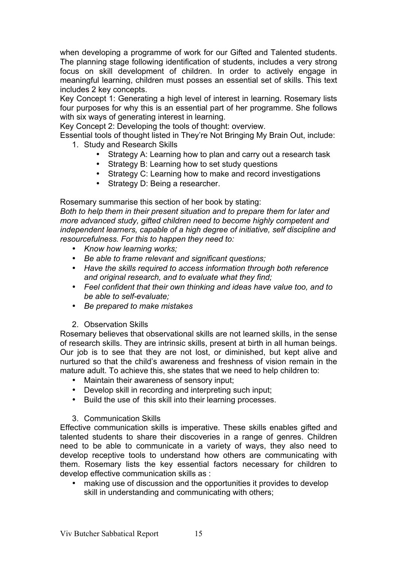when developing a programme of work for our Gifted and Talented students. The planning stage following identification of students, includes a very strong focus on skill development of children. In order to actively engage in meaningful learning, children must posses an essential set of skills. This text includes 2 key concepts.

Key Concept 1: Generating a high level of interest in learning. Rosemary lists four purposes for why this is an essential part of her programme. She follows with six ways of generating interest in learning.

Key Concept 2: Developing the tools of thought: overview.

Essential tools of thought listed in They're Not Bringing My Brain Out, include: 1. Study and Research Skills

- - Strategy A: Learning how to plan and carry out a research task
	- Strategy B: Learning how to set study questions
	- Strategy C: Learning how to make and record investigations
	- Strategy D: Being a researcher.

Rosemary summarise this section of her book by stating:

*Both to help them in their present situation and to prepare them for later and more advanced study, gifted children need to become highly competent and independent learners, capable of a high degree of initiative, self discipline and resourcefulness. For this to happen they need to:*

- *Know how learning works;*
- *Be able to frame relevant and significant questions;*
- *Have the skills required to access information through both reference and original research, and to evaluate what they find;*
- *Feel confident that their own thinking and ideas have value too, and to be able to self-evaluate;*
- *Be prepared to make mistakes*
- 2. Observation Skills

Rosemary believes that observational skills are not learned skills, in the sense of research skills. They are intrinsic skills, present at birth in all human beings. Our job is to see that they are not lost, or diminished, but kept alive and nurtured so that the child's awareness and freshness of vision remain in the mature adult. To achieve this, she states that we need to help children to:

- Maintain their awareness of sensory input;
- Develop skill in recording and interpreting such input;
- Build the use of this skill into their learning processes.

#### 3. Communication Skills

Effective communication skills is imperative. These skills enables gifted and talented students to share their discoveries in a range of genres. Children need to be able to communicate in a variety of ways, they also need to develop receptive tools to understand how others are communicating with them. Rosemary lists the key essential factors necessary for children to develop effective communication skills as :

• making use of discussion and the opportunities it provides to develop skill in understanding and communicating with others;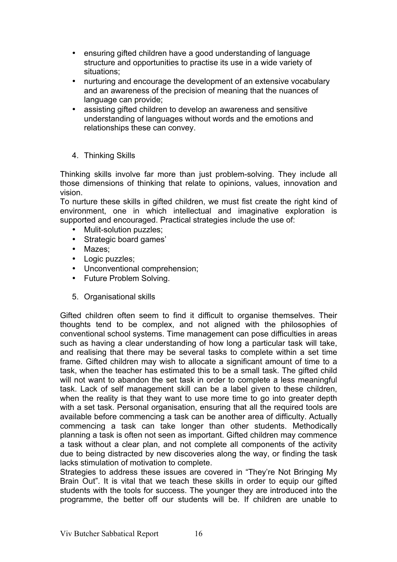- ensuring gifted children have a good understanding of language structure and opportunities to practise its use in a wide variety of situations;
- nurturing and encourage the development of an extensive vocabulary and an awareness of the precision of meaning that the nuances of language can provide;
- assisting gifted children to develop an awareness and sensitive understanding of languages without words and the emotions and relationships these can convey.
- 4. Thinking Skills

Thinking skills involve far more than just problem-solving. They include all those dimensions of thinking that relate to opinions, values, innovation and vision.

To nurture these skills in gifted children, we must fist create the right kind of environment, one in which intellectual and imaginative exploration is supported and encouraged. Practical strategies include the use of:

- Mulit-solution puzzles;
- Strategic board games'
- Mazes;
- Logic puzzles;
- Unconventional comprehension;
- Future Problem Solving.
- 5. Organisational skills

Gifted children often seem to find it difficult to organise themselves. Their thoughts tend to be complex, and not aligned with the philosophies of conventional school systems. Time management can pose difficulties in areas such as having a clear understanding of how long a particular task will take, and realising that there may be several tasks to complete within a set time frame. Gifted children may wish to allocate a significant amount of time to a task, when the teacher has estimated this to be a small task. The gifted child will not want to abandon the set task in order to complete a less meaningful task. Lack of self management skill can be a label given to these children, when the reality is that they want to use more time to go into greater depth with a set task. Personal organisation, ensuring that all the required tools are available before commencing a task can be another area of difficulty. Actually commencing a task can take longer than other students. Methodically planning a task is often not seen as important. Gifted children may commence a task without a clear plan, and not complete all components of the activity due to being distracted by new discoveries along the way, or finding the task lacks stimulation of motivation to complete.

Strategies to address these issues are covered in "They're Not Bringing My Brain Out". It is vital that we teach these skills in order to equip our gifted students with the tools for success. The younger they are introduced into the programme, the better off our students will be. If children are unable to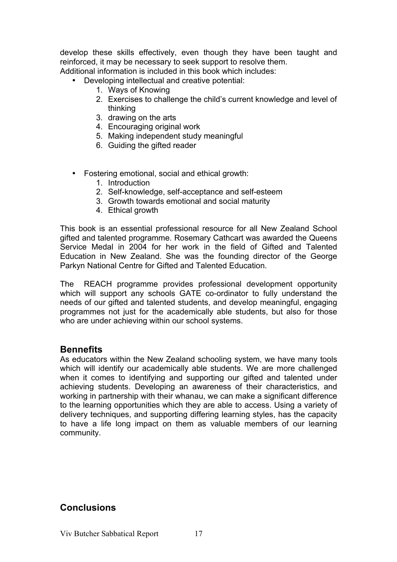develop these skills effectively, even though they have been taught and reinforced, it may be necessary to seek support to resolve them.

Additional information is included in this book which includes:

- Developing intellectual and creative potential:
	- 1. Ways of Knowing
	- 2. Exercises to challenge the child's current knowledge and level of thinking
	- 3. drawing on the arts
	- 4. Encouraging original work
	- 5. Making independent study meaningful
	- 6. Guiding the gifted reader
- Fostering emotional, social and ethical growth:
	- 1. Introduction
	- 2. Self-knowledge, self-acceptance and self-esteem
	- 3. Growth towards emotional and social maturity
	- 4. Ethical growth

This book is an essential professional resource for all New Zealand School gifted and talented programme. Rosemary Cathcart was awarded the Queens Service Medal in 2004 for her work in the field of Gifted and Talented Education in New Zealand. She was the founding director of the George Parkyn National Centre for Gifted and Talented Education.

The REACH programme provides professional development opportunity which will support any schools GATE co-ordinator to fully understand the needs of our gifted and talented students, and develop meaningful, engaging programmes not just for the academically able students, but also for those who are under achieving within our school systems.

#### **Bennefits**

As educators within the New Zealand schooling system, we have many tools which will identify our academically able students. We are more challenged when it comes to identifying and supporting our gifted and talented under achieving students. Developing an awareness of their characteristics, and working in partnership with their whanau, we can make a significant difference to the learning opportunities which they are able to access. Using a variety of delivery techniques, and supporting differing learning styles, has the capacity to have a life long impact on them as valuable members of our learning community.

## **Conclusions**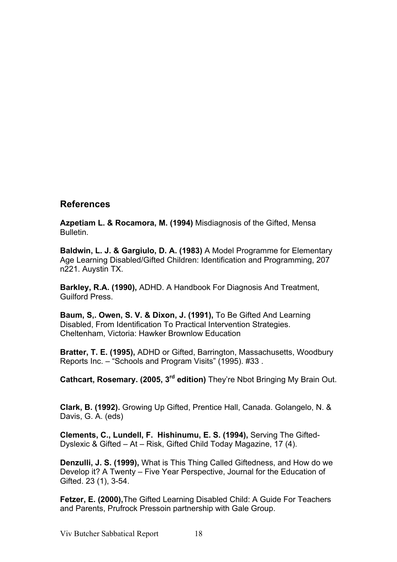#### **References**

**Azpetiam L. & Rocamora, M. (1994)** Misdiagnosis of the Gifted, Mensa Bulletin.

**Baldwin, L. J. & Gargiulo, D. A. (1983)** A Model Programme for Elementary Age Learning Disabled/Gifted Children: Identification and Programming, 207 n221. Auystin TX.

**Barkley, R.A. (1990),** ADHD. A Handbook For Diagnosis And Treatment, Guilford Press.

**Baum, S,. Owen, S. V. & Dixon, J. (1991),** To Be Gifted And Learning Disabled, From Identification To Practical Intervention Strategies. Cheltenham, Victoria: Hawker Brownlow Education

**Bratter, T. E. (1995),** ADHD or Gifted, Barrington, Massachusetts, Woodbury Reports Inc. – "Schools and Program Visits" (1995). #33 .

**Cathcart, Rosemary. (2005, 3<sup>rd</sup> edition)** They're Nbot Bringing My Brain Out.

**Clark, B. (1992).** Growing Up Gifted, Prentice Hall, Canada. Golangelo, N. & Davis, G. A. (eds)

**Clements, C., Lundell, F. Hishinumu, E. S. (1994),** Serving The Gifted-Dyslexic & Gifted – At – Risk, Gifted Child Today Magazine, 17 (4).

**Denzulli, J. S. (1999),** What is This Thing Called Giftedness, and How do we Develop it? A Twenty – Five Year Perspective, Journal for the Education of Gifted. 23 (1), 3-54.

**Fetzer, E. (2000),**The Gifted Learning Disabled Child: A Guide For Teachers and Parents, Prufrock Pressoin partnership with Gale Group.